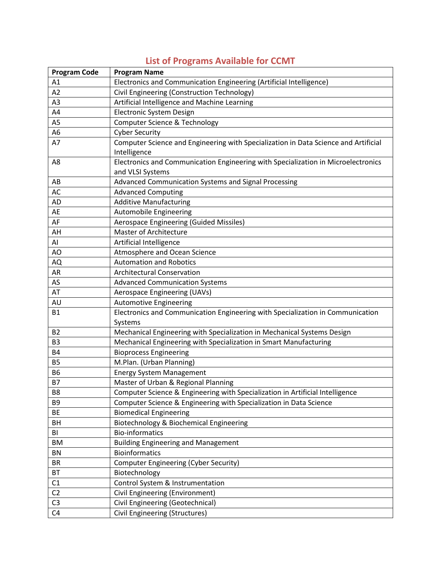| <b>Program Code</b> | <b>Program Name</b>                                                                 |
|---------------------|-------------------------------------------------------------------------------------|
| A1                  | Electronics and Communication Engineering (Artificial Intelligence)                 |
| A2                  | Civil Engineering (Construction Technology)                                         |
| A <sub>3</sub>      | Artificial Intelligence and Machine Learning                                        |
| A4                  | Electronic System Design                                                            |
| A <sub>5</sub>      | <b>Computer Science &amp; Technology</b>                                            |
| A <sub>6</sub>      | <b>Cyber Security</b>                                                               |
| A7                  | Computer Science and Engineering with Specialization in Data Science and Artificial |
|                     | Intelligence                                                                        |
| A8                  | Electronics and Communication Engineering with Specialization in Microelectronics   |
|                     | and VLSI Systems                                                                    |
| AB                  | Advanced Communication Systems and Signal Processing                                |
| AC                  | <b>Advanced Computing</b>                                                           |
| AD                  | <b>Additive Manufacturing</b>                                                       |
| AE                  | <b>Automobile Engineering</b>                                                       |
| AF                  | Aerospace Engineering (Guided Missiles)                                             |
| AH                  | Master of Architecture                                                              |
| AI                  | Artificial Intelligence                                                             |
| AO                  | Atmosphere and Ocean Science                                                        |
| AQ                  | <b>Automation and Robotics</b>                                                      |
| AR                  | <b>Architectural Conservation</b>                                                   |
| AS                  | <b>Advanced Communication Systems</b>                                               |
| AT                  | Aerospace Engineering (UAVs)                                                        |
| AU                  | <b>Automotive Engineering</b>                                                       |
| <b>B1</b>           | Electronics and Communication Engineering with Specialization in Communication      |
|                     | Systems                                                                             |
| <b>B2</b>           | Mechanical Engineering with Specialization in Mechanical Systems Design             |
| B <sub>3</sub>      | Mechanical Engineering with Specialization in Smart Manufacturing                   |
| <b>B4</b>           | <b>Bioprocess Engineering</b>                                                       |
| <b>B5</b>           | M.Plan. (Urban Planning)                                                            |
| <b>B6</b>           | <b>Energy System Management</b>                                                     |
| <b>B7</b>           | Master of Urban & Regional Planning                                                 |
| B8                  | Computer Science & Engineering with Specialization in Artificial Intelligence       |
| B <sub>9</sub>      | Computer Science & Engineering with Specialization in Data Science                  |
| <b>BE</b>           | <b>Biomedical Engineering</b>                                                       |
| BH                  | Biotechnology & Biochemical Engineering                                             |
| BI                  | <b>Bio-informatics</b>                                                              |
| <b>BM</b>           | <b>Building Engineering and Management</b>                                          |
| BN                  | <b>Bioinformatics</b>                                                               |
| <b>BR</b>           | Computer Engineering (Cyber Security)                                               |
| <b>BT</b>           | Biotechnology                                                                       |
| C1                  | Control System & Instrumentation                                                    |
| C <sub>2</sub>      | Civil Engineering (Environment)                                                     |
| C <sub>3</sub>      | Civil Engineering (Geotechnical)                                                    |
| C <sub>4</sub>      | Civil Engineering (Structures)                                                      |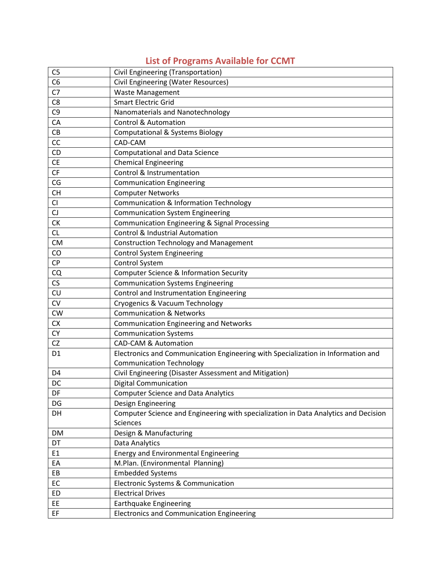| C <sub>5</sub> | Civil Engineering (Transportation)                                                  |
|----------------|-------------------------------------------------------------------------------------|
| C <sub>6</sub> | <b>Civil Engineering (Water Resources)</b>                                          |
| C7             | <b>Waste Management</b>                                                             |
| C <sub>8</sub> | <b>Smart Electric Grid</b>                                                          |
| C <sub>9</sub> | Nanomaterials and Nanotechnology                                                    |
| CA             | <b>Control &amp; Automation</b>                                                     |
| CB             | <b>Computational &amp; Systems Biology</b>                                          |
| CC             | CAD-CAM                                                                             |
| CD             | <b>Computational and Data Science</b>                                               |
| <b>CE</b>      | <b>Chemical Engineering</b>                                                         |
| CF             | Control & Instrumentation                                                           |
| CG             | <b>Communication Engineering</b>                                                    |
| <b>CH</b>      | <b>Computer Networks</b>                                                            |
| CI             | <b>Communication &amp; Information Technology</b>                                   |
| CJ             | <b>Communication System Engineering</b>                                             |
| <b>CK</b>      | <b>Communication Engineering &amp; Signal Processing</b>                            |
| <b>CL</b>      | <b>Control &amp; Industrial Automation</b>                                          |
| <b>CM</b>      | <b>Construction Technology and Management</b>                                       |
| CO             | <b>Control System Engineering</b>                                                   |
| <b>CP</b>      | Control System                                                                      |
| CQ             | Computer Science & Information Security                                             |
| CS             | <b>Communication Systems Engineering</b>                                            |
| CU             | Control and Instrumentation Engineering                                             |
| <b>CV</b>      | Cryogenics & Vacuum Technology                                                      |
| CW             | <b>Communication &amp; Networks</b>                                                 |
| <b>CX</b>      | <b>Communication Engineering and Networks</b>                                       |
| <b>CY</b>      | <b>Communication Systems</b>                                                        |
| <b>CZ</b>      | <b>CAD-CAM &amp; Automation</b>                                                     |
| D <sub>1</sub> | Electronics and Communication Engineering with Specialization in Information and    |
|                | <b>Communication Technology</b>                                                     |
| D <sub>4</sub> | Civil Engineering (Disaster Assessment and Mitigation)                              |
| DC             | <b>Digital Communication</b>                                                        |
| DF             | <b>Computer Science and Data Analytics</b>                                          |
| DG             | Design Engineering                                                                  |
| DH             | Computer Science and Engineering with specialization in Data Analytics and Decision |
|                | <b>Sciences</b>                                                                     |
| <b>DM</b>      | Design & Manufacturing                                                              |
| DT             | Data Analytics                                                                      |
| E1             | <b>Energy and Environmental Engineering</b>                                         |
| EA             | M.Plan. (Environmental Planning)                                                    |
| EB             | <b>Embedded Systems</b>                                                             |
| EC             | Electronic Systems & Communication                                                  |
| <b>ED</b>      | <b>Electrical Drives</b>                                                            |
| EE             | Earthquake Engineering                                                              |
| EF             | <b>Electronics and Communication Engineering</b>                                    |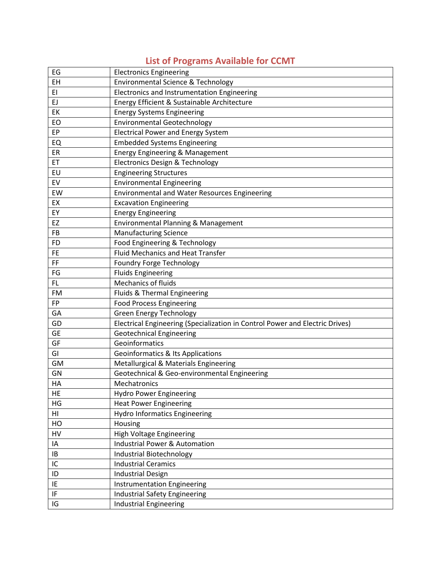| EG        | <b>Electronics Engineering</b>                                               |
|-----------|------------------------------------------------------------------------------|
| EH        | <b>Environmental Science &amp; Technology</b>                                |
| EI        | Electronics and Instrumentation Engineering                                  |
| EJ        | Energy Efficient & Sustainable Architecture                                  |
| EK        | <b>Energy Systems Engineering</b>                                            |
| EO        | <b>Environmental Geotechnology</b>                                           |
| EP        | <b>Electrical Power and Energy System</b>                                    |
| EQ        | <b>Embedded Systems Engineering</b>                                          |
| ER        | Energy Engineering & Management                                              |
| ET        | <b>Electronics Design &amp; Technology</b>                                   |
| EU        | <b>Engineering Structures</b>                                                |
| EV        | <b>Environmental Engineering</b>                                             |
| EW        | <b>Environmental and Water Resources Engineering</b>                         |
| EX        | <b>Excavation Engineering</b>                                                |
| EY        | <b>Energy Engineering</b>                                                    |
| <b>EZ</b> | Environmental Planning & Management                                          |
| FB        | <b>Manufacturing Science</b>                                                 |
| <b>FD</b> | Food Engineering & Technology                                                |
| <b>FE</b> | <b>Fluid Mechanics and Heat Transfer</b>                                     |
| FF        | Foundry Forge Technology                                                     |
| FG        | <b>Fluids Engineering</b>                                                    |
| FL        | <b>Mechanics of fluids</b>                                                   |
| FM        | Fluids & Thermal Engineering                                                 |
| <b>FP</b> | <b>Food Process Engineering</b>                                              |
| GA        | <b>Green Energy Technology</b>                                               |
| GD        | Electrical Engineering (Specialization in Control Power and Electric Drives) |
| <b>GE</b> | <b>Geotechnical Engineering</b>                                              |
| GF        | Geoinformatics                                                               |
| GI        | <b>Geoinformatics &amp; Its Applications</b>                                 |
| GM        | Metallurgical & Materials Engineering                                        |
| GN        | Geotechnical & Geo-environmental Engineering                                 |
| HA        | Mechatronics                                                                 |
| HE        | <b>Hydro Power Engineering</b>                                               |
| HG        | <b>Heat Power Engineering</b>                                                |
| HI        | <b>Hydro Informatics Engineering</b>                                         |
| HO        | Housing                                                                      |
| HV        | High Voltage Engineering                                                     |
| IA        | <b>Industrial Power &amp; Automation</b>                                     |
| IB        | <b>Industrial Biotechnology</b>                                              |
| IC        | <b>Industrial Ceramics</b>                                                   |
| ID        | <b>Industrial Design</b>                                                     |
| IE        | <b>Instrumentation Engineering</b>                                           |
| IF        | Industrial Safety Engineering                                                |
| IG        | <b>Industrial Engineering</b>                                                |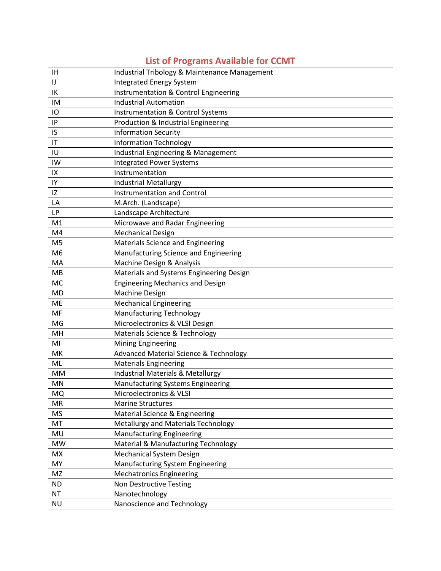#### IH Industrial Tribology & Maintenance Management IJ Integrated Energy System IK | Instrumentation & Control Engineering IM | Industrial Automation IO Instrumentation & Control Systems IP Production & Industrial Engineering IS Information Security IT Information Technology IU | Industrial Engineering & Management IW Integrated Power Systems IX | Instrumentation IY **Industrial Metallurgy** IZ Instrumentation and Control LA M.Arch. (Landscape) LP **Landscape Architecture** M1 Microwave and Radar Engineering M4 Mechanical Design M5 Materials Science and Engineering M6 Manufacturing Science and Engineering MA | Machine Design & Analysis MB Materials and Systems Engineering Design MC **Engineering Mechanics and Design** MD Machine Design ME | Mechanical Engineering MF Manufacturing Technology MG | Microelectronics & VLSI Design MH Materials Science & Technology MI Mining Engineering MK Advanced Material Science & Technology ML **Materials Engineering** MM | Industrial Materials & Metallurgy MN Manufacturing Systems Engineering MQ Microelectronics & VLSI MR Marine Structures MS Material Science & Engineering MT | Metallurgy and Materials Technology MU Manufacturing Engineering MW | Material & Manufacturing Technology MX Mechanical System Design MY Manufacturing System Engineering MZ Mechatronics Engineering ND | Non Destructive Testing NT **Nanotechnology** NU Nanoscience and Technology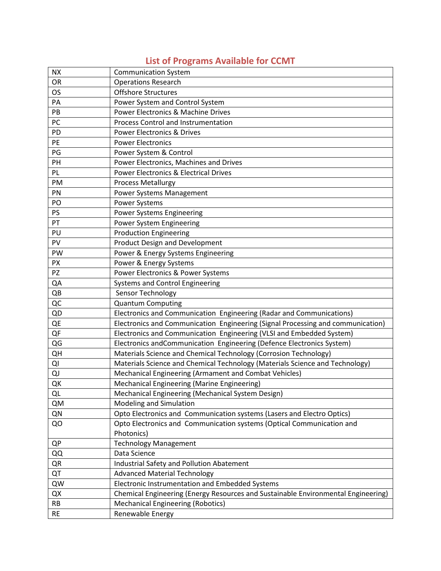| <b>NX</b> | <b>Communication System</b>                                                       |
|-----------|-----------------------------------------------------------------------------------|
| <b>OR</b> | <b>Operations Research</b>                                                        |
| <b>OS</b> | <b>Offshore Structures</b>                                                        |
| PA        | Power System and Control System                                                   |
| PB        | Power Electronics & Machine Drives                                                |
| PC        | Process Control and Instrumentation                                               |
| PD        | <b>Power Electronics &amp; Drives</b>                                             |
| PE        | <b>Power Electronics</b>                                                          |
| PG        | Power System & Control                                                            |
| PH        | Power Electronics, Machines and Drives                                            |
| PL        | <b>Power Electronics &amp; Electrical Drives</b>                                  |
| PM        | <b>Process Metallurgy</b>                                                         |
| PN        | Power Systems Management                                                          |
| PO        | Power Systems                                                                     |
| <b>PS</b> | <b>Power Systems Engineering</b>                                                  |
| PT        | Power System Engineering                                                          |
| PU        | <b>Production Engineering</b>                                                     |
| PV        | <b>Product Design and Development</b>                                             |
| PW        | Power & Energy Systems Engineering                                                |
| <b>PX</b> | Power & Energy Systems                                                            |
| PZ        | Power Electronics & Power Systems                                                 |
| QA        | Systems and Control Engineering                                                   |
| QB        | Sensor Technology                                                                 |
| QC        | <b>Quantum Computing</b>                                                          |
| QD        | Electronics and Communication Engineering (Radar and Communications)              |
| QE        | Electronics and Communication Engineering (Signal Processing and communication)   |
| QF        | Electronics and Communication Engineering (VLSI and Embedded System)              |
| QG        | Electronics and Communication Engineering (Defence Electronics System)            |
| QH        | Materials Science and Chemical Technology (Corrosion Technology)                  |
| QI        | Materials Science and Chemical Technology (Materials Science and Technology)      |
| QJ        | Mechanical Engineering (Armament and Combat Vehicles)                             |
| QK        | Mechanical Engineering (Marine Engineering)                                       |
| QL        | Mechanical Engineering (Mechanical System Design)                                 |
| QM        | <b>Modeling and Simulation</b>                                                    |
| QN        | Opto Electronics and Communication systems (Lasers and Electro Optics)            |
| QO        | Opto Electronics and Communication systems (Optical Communication and             |
|           | Photonics)                                                                        |
| QP        | <b>Technology Management</b>                                                      |
| QQ        | Data Science                                                                      |
| QR        | <b>Industrial Safety and Pollution Abatement</b>                                  |
| QT        | <b>Advanced Material Technology</b>                                               |
| QW        | Electronic Instrumentation and Embedded Systems                                   |
| QX        | Chemical Engineering (Energy Resources and Sustainable Environmental Engineering) |
| <b>RB</b> | <b>Mechanical Engineering (Robotics)</b>                                          |
| <b>RE</b> | Renewable Energy                                                                  |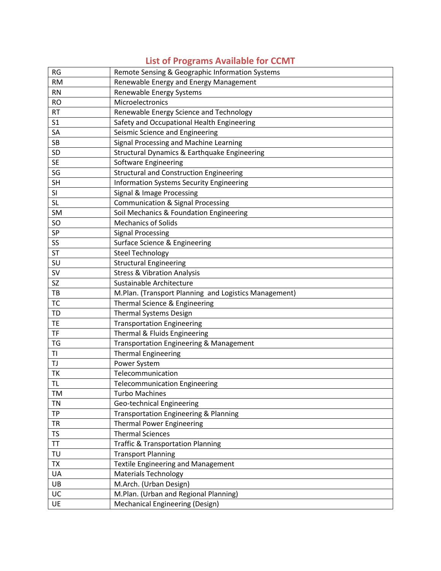| <b>RG</b>      | Remote Sensing & Geographic Information Systems       |
|----------------|-------------------------------------------------------|
| <b>RM</b>      | Renewable Energy and Energy Management                |
| <b>RN</b>      | Renewable Energy Systems                              |
| <b>RO</b>      | Microelectronics                                      |
| <b>RT</b>      | Renewable Energy Science and Technology               |
| S <sub>1</sub> | Safety and Occupational Health Engineering            |
| SA             | Seismic Science and Engineering                       |
| SB             | Signal Processing and Machine Learning                |
| SD             | Structural Dynamics & Earthquake Engineering          |
| <b>SE</b>      | Software Engineering                                  |
| SG             | <b>Structural and Construction Engineering</b>        |
| <b>SH</b>      | <b>Information Systems Security Engineering</b>       |
| SI             | Signal & Image Processing                             |
| <b>SL</b>      | <b>Communication &amp; Signal Processing</b>          |
| SM             | Soil Mechanics & Foundation Engineering               |
| SO             | <b>Mechanics of Solids</b>                            |
| SP             | <b>Signal Processing</b>                              |
| SS             | Surface Science & Engineering                         |
| <b>ST</b>      | <b>Steel Technology</b>                               |
| SU             | <b>Structural Engineering</b>                         |
| <b>SV</b>      | <b>Stress &amp; Vibration Analysis</b>                |
| SZ             | Sustainable Architecture                              |
| TB             | M.Plan. (Transport Planning and Logistics Management) |
| <b>TC</b>      | Thermal Science & Engineering                         |
| <b>TD</b>      | <b>Thermal Systems Design</b>                         |
| <b>TE</b>      | <b>Transportation Engineering</b>                     |
| TF             | Thermal & Fluids Engineering                          |
| TG             | Transportation Engineering & Management               |
| TI             | <b>Thermal Engineering</b>                            |
| TJ             | Power System                                          |
| TK             | Telecommunication                                     |
| <b>TL</b>      | <b>Telecommunication Engineering</b>                  |
| TM             | <b>Turbo Machines</b>                                 |
| <b>TN</b>      | Geo-technical Engineering                             |
| <b>TP</b>      | <b>Transportation Engineering &amp; Planning</b>      |
| <b>TR</b>      | <b>Thermal Power Engineering</b>                      |
| <b>TS</b>      | <b>Thermal Sciences</b>                               |
| TT             | <b>Traffic &amp; Transportation Planning</b>          |
| TU             | <b>Transport Planning</b>                             |
| <b>TX</b>      | <b>Textile Engineering and Management</b>             |
| UA             | <b>Materials Technology</b>                           |
| UB             | M.Arch. (Urban Design)                                |
| UC             | M.Plan. (Urban and Regional Planning)                 |
| UE             | <b>Mechanical Engineering (Design)</b>                |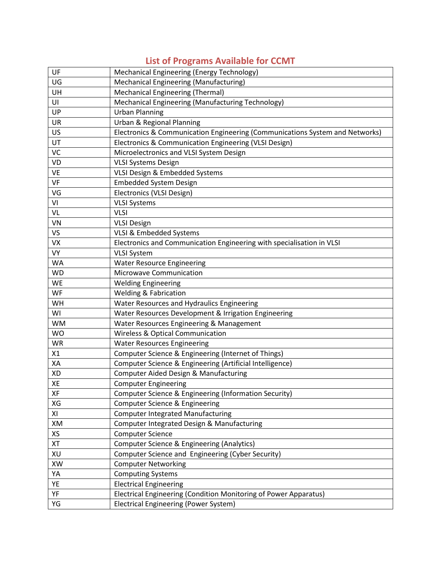| UF        | Mechanical Engineering (Energy Technology)                                   |
|-----------|------------------------------------------------------------------------------|
| UG        | Mechanical Engineering (Manufacturing)                                       |
| UH        | <b>Mechanical Engineering (Thermal)</b>                                      |
| UI        | Mechanical Engineering (Manufacturing Technology)                            |
| UP        | <b>Urban Planning</b>                                                        |
| <b>UR</b> | Urban & Regional Planning                                                    |
| US.       | Electronics & Communication Engineering (Communications System and Networks) |
| UT        | Electronics & Communication Engineering (VLSI Design)                        |
| VC        | Microelectronics and VLSI System Design                                      |
| VD        | <b>VLSI Systems Design</b>                                                   |
| VE        | VLSI Design & Embedded Systems                                               |
| VF        | <b>Embedded System Design</b>                                                |
| VG        | Electronics (VLSI Design)                                                    |
| VI        | <b>VLSI Systems</b>                                                          |
| VL        | <b>VLSI</b>                                                                  |
| VN        | <b>VLSI Design</b>                                                           |
| VS        | VLSI & Embedded Systems                                                      |
| <b>VX</b> | Electronics and Communication Engineering with specialisation in VLSI        |
| <b>VY</b> | <b>VLSI System</b>                                                           |
| <b>WA</b> | <b>Water Resource Engineering</b>                                            |
| <b>WD</b> | Microwave Communication                                                      |
| <b>WE</b> | <b>Welding Engineering</b>                                                   |
| <b>WF</b> | <b>Welding &amp; Fabrication</b>                                             |
| WH        | Water Resources and Hydraulics Engineering                                   |
| WI        | Water Resources Development & Irrigation Engineering                         |
| <b>WM</b> | Water Resources Engineering & Management                                     |
| <b>WO</b> | <b>Wireless &amp; Optical Communication</b>                                  |
| <b>WR</b> | <b>Water Resources Engineering</b>                                           |
| X1        | Computer Science & Engineering (Internet of Things)                          |
| XA        | Computer Science & Engineering (Artificial Intelligence)                     |
| XD        | Computer Aided Design & Manufacturing                                        |
| XE        | <b>Computer Engineering</b>                                                  |
| XF        | Computer Science & Engineering (Information Security)                        |
| XG        | Computer Science & Engineering                                               |
| ΧI        | <b>Computer Integrated Manufacturing</b>                                     |
| XM        | Computer Integrated Design & Manufacturing                                   |
| XS        | <b>Computer Science</b>                                                      |
| XT        | Computer Science & Engineering (Analytics)                                   |
| XU        | Computer Science and Engineering (Cyber Security)                            |
| XW        | <b>Computer Networking</b>                                                   |
| YA        | <b>Computing Systems</b>                                                     |
| YE        | <b>Electrical Engineering</b>                                                |
| YF        | Electrical Engineering (Condition Monitoring of Power Apparatus)             |
| YG        | Electrical Engineering (Power System)                                        |